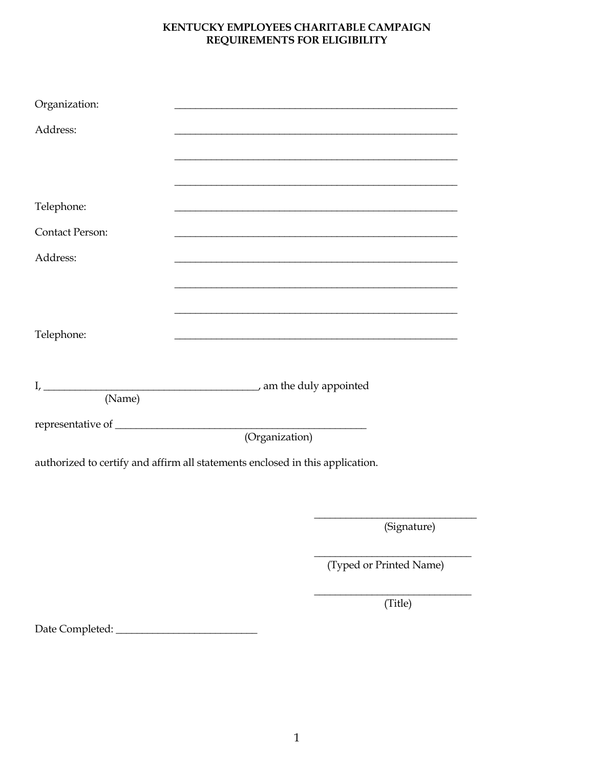## KENTUCKY EMPLOYEES CHARITABLE CAMPAIGN REQUIREMENTS FOR ELIGIBILITY

| Organization:                                                                 |  |                         |
|-------------------------------------------------------------------------------|--|-------------------------|
| Address:                                                                      |  |                         |
|                                                                               |  |                         |
|                                                                               |  |                         |
| Telephone:                                                                    |  |                         |
| Contact Person:                                                               |  |                         |
| Address:                                                                      |  |                         |
|                                                                               |  |                         |
|                                                                               |  |                         |
| Telephone:                                                                    |  |                         |
|                                                                               |  |                         |
|                                                                               |  |                         |
| (Name)                                                                        |  |                         |
|                                                                               |  |                         |
| authorized to certify and affirm all statements enclosed in this application. |  |                         |
|                                                                               |  |                         |
|                                                                               |  |                         |
|                                                                               |  | (Signature)             |
|                                                                               |  | (Typed or Printed Name) |
|                                                                               |  | (Title)                 |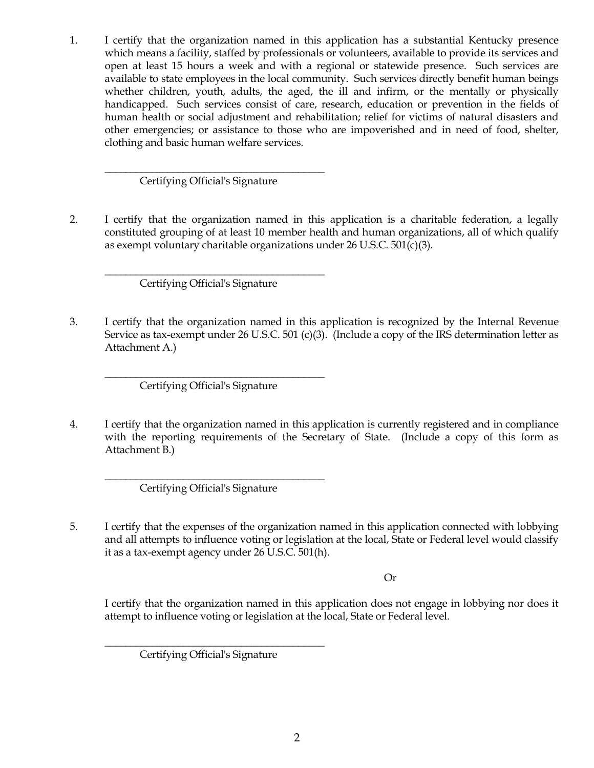1. I certify that the organization named in this application has a substantial Kentucky presence which means a facility, staffed by professionals or volunteers, available to provide its services and open at least 15 hours a week and with a regional or statewide presence. Such services are available to state employees in the local community. Such services directly benefit human beings whether children, youth, adults, the aged, the ill and infirm, or the mentally or physically handicapped. Such services consist of care, research, education or prevention in the fields of human health or social adjustment and rehabilitation; relief for victims of natural disasters and other emergencies; or assistance to those who are impoverished and in need of food, shelter, clothing and basic human welfare services.

\_\_\_\_\_\_\_\_\_\_\_\_\_\_\_\_\_\_\_\_\_\_\_\_\_\_\_\_\_\_\_\_\_\_\_\_\_\_\_\_\_\_ Certifying Official's Signature

2. I certify that the organization named in this application is a charitable federation, a legally constituted grouping of at least 10 member health and human organizations, all of which qualify as exempt voluntary charitable organizations under 26 U.S.C. 501(c)(3).

\_\_\_\_\_\_\_\_\_\_\_\_\_\_\_\_\_\_\_\_\_\_\_\_\_\_\_\_\_\_\_\_\_\_\_\_\_\_\_\_\_\_ Certifying Official's Signature

3. I certify that the organization named in this application is recognized by the Internal Revenue Service as tax-exempt under 26 U.S.C. 501 (c)(3). (Include a copy of the IRS determination letter as Attachment A.)

\_\_\_\_\_\_\_\_\_\_\_\_\_\_\_\_\_\_\_\_\_\_\_\_\_\_\_\_\_\_\_\_\_\_\_\_\_\_\_\_\_\_ Certifying Official's Signature

4. I certify that the organization named in this application is currently registered and in compliance with the reporting requirements of the Secretary of State. (Include a copy of this form as Attachment B.)

\_\_\_\_\_\_\_\_\_\_\_\_\_\_\_\_\_\_\_\_\_\_\_\_\_\_\_\_\_\_\_\_\_\_\_\_\_\_\_\_\_\_ Certifying Official's Signature

5. I certify that the expenses of the organization named in this application connected with lobbying and all attempts to influence voting or legislation at the local, State or Federal level would classify it as a tax-exempt agency under 26 U.S.C. 501(h).

Or

I certify that the organization named in this application does not engage in lobbying nor does it attempt to influence voting or legislation at the local, State or Federal level.

\_\_\_\_\_\_\_\_\_\_\_\_\_\_\_\_\_\_\_\_\_\_\_\_\_\_\_\_\_\_\_\_\_\_\_\_\_\_\_\_\_\_ Certifying Official's Signature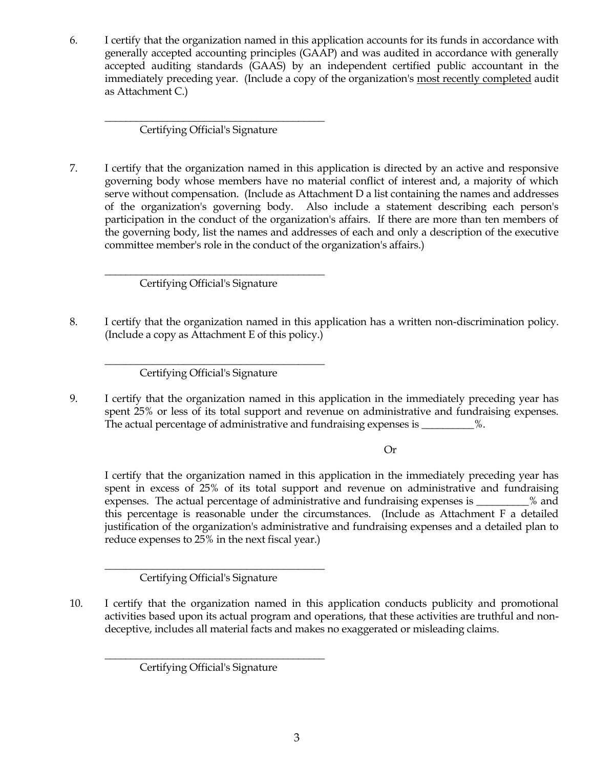6. I certify that the organization named in this application accounts for its funds in accordance with generally accepted accounting principles (GAAP) and was audited in accordance with generally accepted auditing standards (GAAS) by an independent certified public accountant in the immediately preceding year. (Include a copy of the organization's most recently completed audit as Attachment C.)

\_\_\_\_\_\_\_\_\_\_\_\_\_\_\_\_\_\_\_\_\_\_\_\_\_\_\_\_\_\_\_\_\_\_\_\_\_\_\_\_\_\_ Certifying Official's Signature

7. I certify that the organization named in this application is directed by an active and responsive governing body whose members have no material conflict of interest and, a majority of which serve without compensation. (Include as Attachment D a list containing the names and addresses of the organization's governing body. Also include a statement describing each person's participation in the conduct of the organization's affairs. If there are more than ten members of the governing body, list the names and addresses of each and only a description of the executive committee member's role in the conduct of the organization's affairs.)

\_\_\_\_\_\_\_\_\_\_\_\_\_\_\_\_\_\_\_\_\_\_\_\_\_\_\_\_\_\_\_\_\_\_\_\_\_\_\_\_\_\_ Certifying Official's Signature

8. I certify that the organization named in this application has a written non-discrimination policy. (Include a copy as Attachment E of this policy.)

\_\_\_\_\_\_\_\_\_\_\_\_\_\_\_\_\_\_\_\_\_\_\_\_\_\_\_\_\_\_\_\_\_\_\_\_\_\_\_\_\_\_ Certifying Official's Signature

9. I certify that the organization named in this application in the immediately preceding year has spent 25% or less of its total support and revenue on administrative and fundraising expenses. The actual percentage of administrative and fundraising expenses is \_\_\_\_\_\_\_\_\_%.

Or

I certify that the organization named in this application in the immediately preceding year has spent in excess of 25% of its total support and revenue on administrative and fundraising expenses. The actual percentage of administrative and fundraising expenses is \_\_\_\_\_\_\_\_\_\_% and this percentage is reasonable under the circumstances. (Include as Attachment F a detailed justification of the organization's administrative and fundraising expenses and a detailed plan to reduce expenses to 25% in the next fiscal year.)

\_\_\_\_\_\_\_\_\_\_\_\_\_\_\_\_\_\_\_\_\_\_\_\_\_\_\_\_\_\_\_\_\_\_\_\_\_\_\_\_\_\_ Certifying Official's Signature

10. I certify that the organization named in this application conducts publicity and promotional activities based upon its actual program and operations, that these activities are truthful and nondeceptive, includes all material facts and makes no exaggerated or misleading claims.

\_\_\_\_\_\_\_\_\_\_\_\_\_\_\_\_\_\_\_\_\_\_\_\_\_\_\_\_\_\_\_\_\_\_\_\_\_\_\_\_\_\_ Certifying Official's Signature